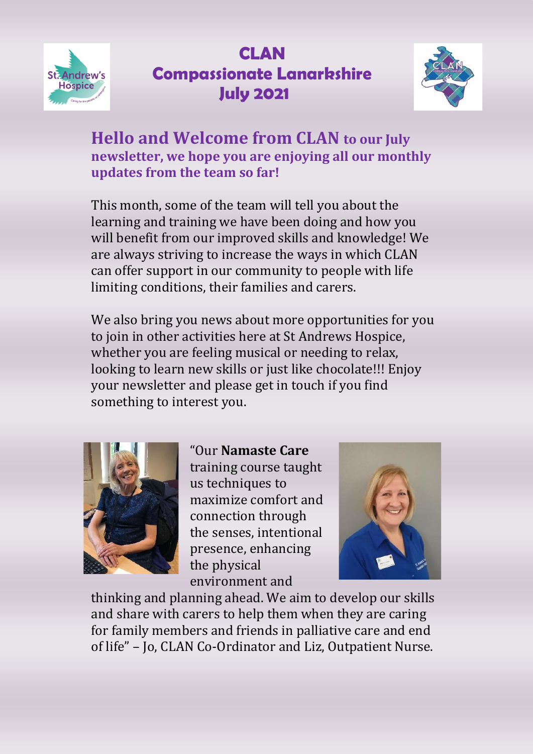



**Hello and Welcome from CLAN to our July newsletter, we hope you are enjoying all our monthly updates from the team so far!**

This month, some of the team will tell you about the learning and training we have been doing and how you will benefit from our improved skills and knowledge! We are always striving to increase the ways in which CLAN can offer support in our community to people with life limiting conditions, their families and carers.

We also bring you news about more opportunities for you to join in other activities here at St Andrews Hospice, whether you are feeling musical or needing to relax, looking to learn new skills or just like chocolate!!! Enjoy your newsletter and please get in touch if you find something to interest you.



"Our **Namaste Care**  training course taught us techniques to maximize comfort and connection through the senses, intentional presence, enhancing the physical environment and



thinking and planning ahead. We aim to develop our skills and share with carers to help them when they are caring for family members and friends in palliative care and end of life" – Jo, CLAN Co-Ordinator and Liz, Outpatient Nurse.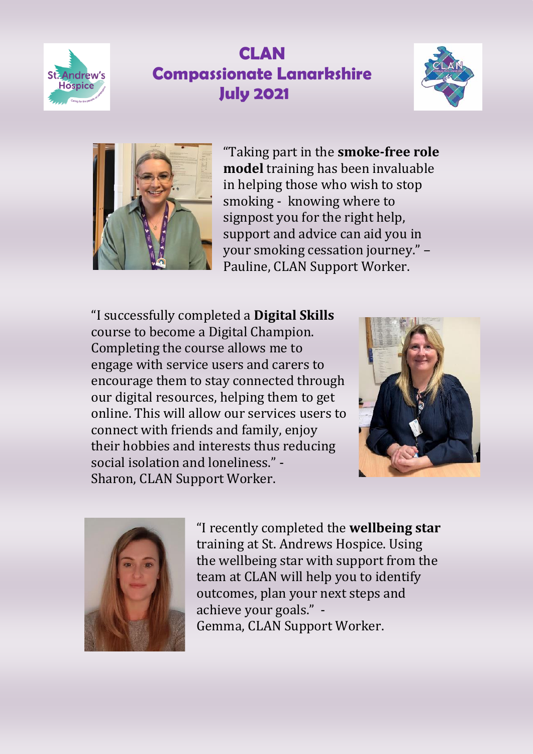





"Taking part in the **smoke-free role model** training has been invaluable in helping those who wish to stop smoking - knowing where to signpost you for the right help, support and advice can aid you in your smoking cessation journey." – Pauline, CLAN Support Worker.

"I successfully completed a **Digital Skills** course to become a Digital Champion. Completing the course allows me to engage with service users and carers to encourage them to stay connected through our digital resources, helping them to get online. This will allow our services users to connect with friends and family, enjoy their hobbies and interests thus reducing social isolation and loneliness." - Sharon, CLAN Support Worker.





"I recently completed the **wellbeing star** training at St. Andrews Hospice. Using the wellbeing star with support from the team at CLAN will help you to identify outcomes, plan your next steps and achieve your goals." - Gemma, CLAN Support Worker.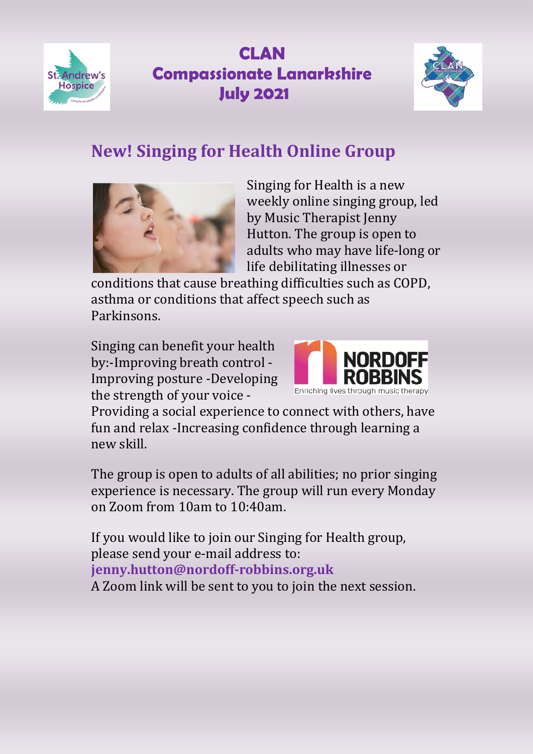



#### **New! Singing for Health Online Group**



Singing for Health is a new weekly online singing group, led by Music Therapist Jenny Hutton. The group is open to adults who may have life-long or life debilitating illnesses or

conditions that cause breathing difficulties such as COPD, asthma or conditions that affect speech such as Parkinsons.

Singing can benefit your health by:-Improving breath control - Improving posture -Developing the strength of your voice -



Providing a social experience to connect with others, have fun and relax -Increasing confidence through learning a new skill.

The group is open to adults of all abilities; no prior singing experience is necessary. The group will run every Monday on Zoom from 10am to 10:40am.

If you would like to join our Singing for Health group, please send your e-mail address to: **jenny.hutton@nordoff-robbins.org.uk**  A Zoom link will be sent to you to join the next session.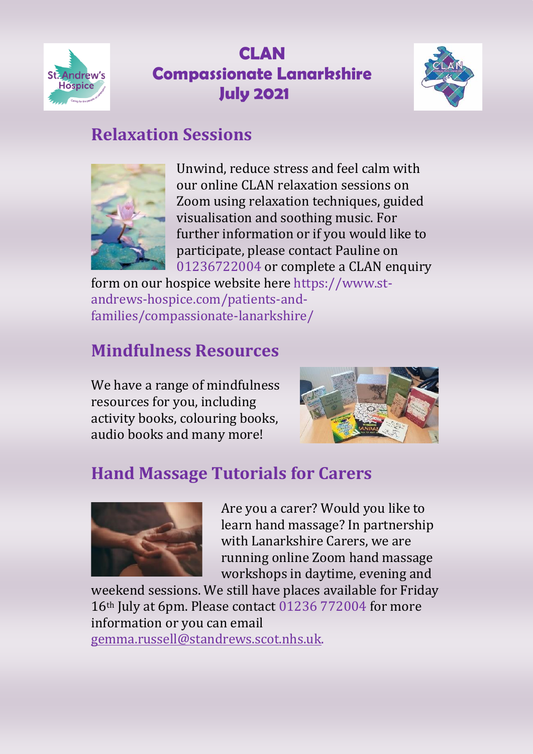



#### **Relaxation Sessions**



Unwind, reduce stress and feel calm with our online CLAN relaxation sessions on Zoom using relaxation techniques, guided visualisation and soothing music. For further information or if you would like to participate, please contact Pauline on 01236722004 or complete a CLAN enquiry

form on our hospice website here https://www.standrews-hospice.com/patients-andfamilies/compassionate-lanarkshire/

## **Mindfulness Resources**

We have a range of mindfulness resources for you, including activity books, colouring books, audio books and many more!



## **Hand Massage Tutorials for Carers**



Are you a carer? Would you like to learn hand massage? In partnership with Lanarkshire Carers, we are running online Zoom hand massage workshops in daytime, evening and

weekend sessions. We still have places available for Friday 16th July at 6pm. Please contact 01236 772004 for more information or you can email [gemma.russell@standrews.scot.nhs.uk.](mailto:gemma.russell@standrews.scot.nhs.uk)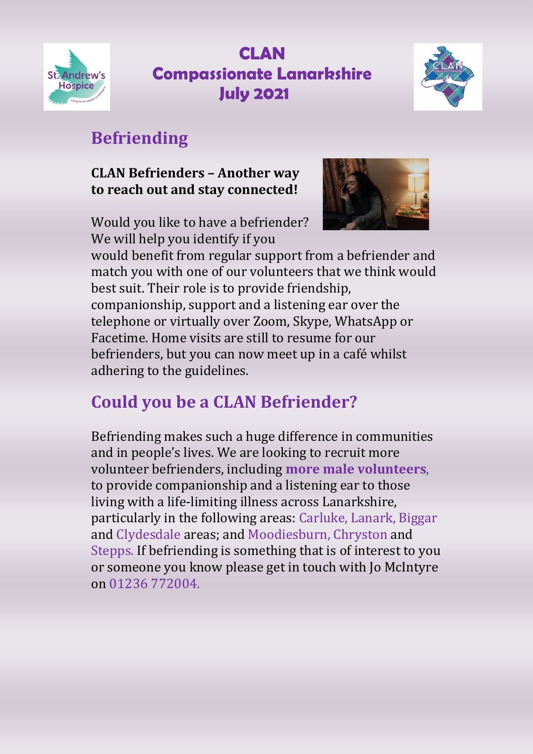



# **Befriending**

#### **CLAN Befrienders – Another way to reach out and stay connected!**

Would you like to have a befriender? We will help you identify if you



would benefit from regular support from a befriender and match you with one of our volunteers that we think would best suit. Their role is to provide friendship, companionship, support and a listening ear over the telephone or virtually over Zoom, Skype, WhatsApp or Facetime. Home visits are still to resume for our befrienders, but you can now meet up in a café whilst adhering to the guidelines.

# **Could you be a CLAN Befriender?**

Befriending makes such a huge difference in communities and in people's lives. We are looking to recruit more volunteer befrienders, including **more male volunteers**, to provide companionship and a listening ear to those living with a life-limiting illness across Lanarkshire, particularly in the following areas: Carluke, Lanark, Biggar and Clydesdale areas; and Moodiesburn, Chryston and Stepps. If befriending is something that is of interest to you or someone you know please get in touch with Jo McIntyre on 01236 772004.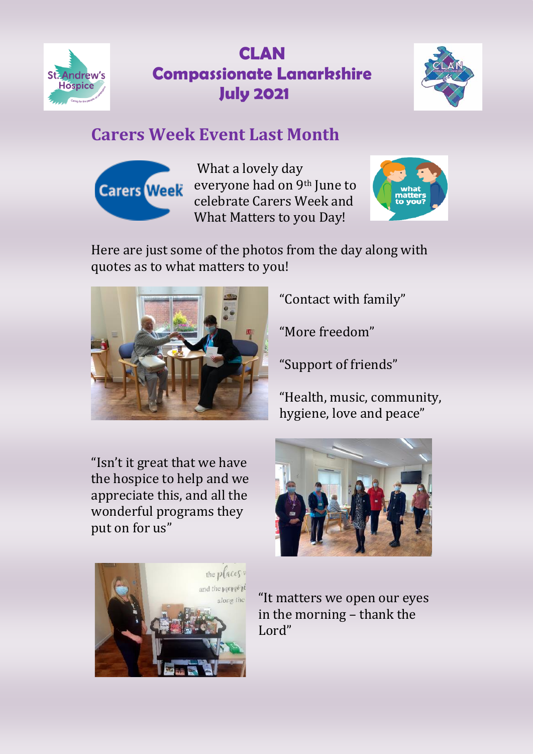



#### **Carers Week Event Last Month**



What a lovely day everyone had on 9th June to celebrate Carers Week and What Matters to you Day!



Here are just some of the photos from the day along with quotes as to what matters to you!



"Contact with family"

"More freedom"

"Support of friends"

"Health, music, community, hygiene, love and peace"

"Isn't it great that we have the hospice to help and we appreciate this, and all the wonderful programs they put on for us"





"It matters we open our eyes in the morning – thank the Lord"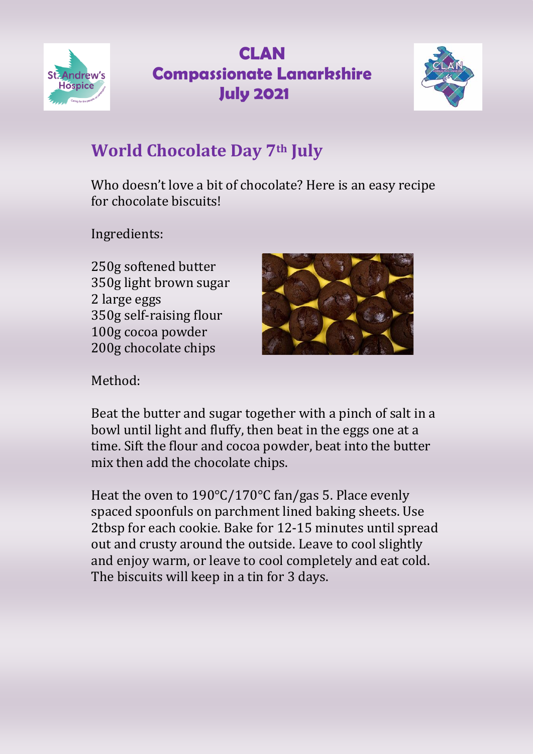



# **World Chocolate Day 7th July**

Who doesn't love a bit of chocolate? Here is an easy recipe for chocolate biscuits!

Ingredients:

250g softened butter 350g light brown sugar 2 large eggs 350g self-raising flour 100g cocoa powder 200g chocolate chips



Method:

Beat the butter and sugar together with a pinch of salt in a bowl until light and fluffy, then beat in the eggs one at a time. Sift the flour and cocoa powder, beat into the butter mix then add the chocolate chips.

Heat the oven to 190°C/170°C fan/gas 5. Place evenly spaced spoonfuls on parchment lined baking sheets. Use 2tbsp for each cookie. Bake for 12-15 minutes until spread out and crusty around the outside. Leave to cool slightly and enjoy warm, or leave to cool completely and eat cold. The biscuits will keep in a tin for 3 days.